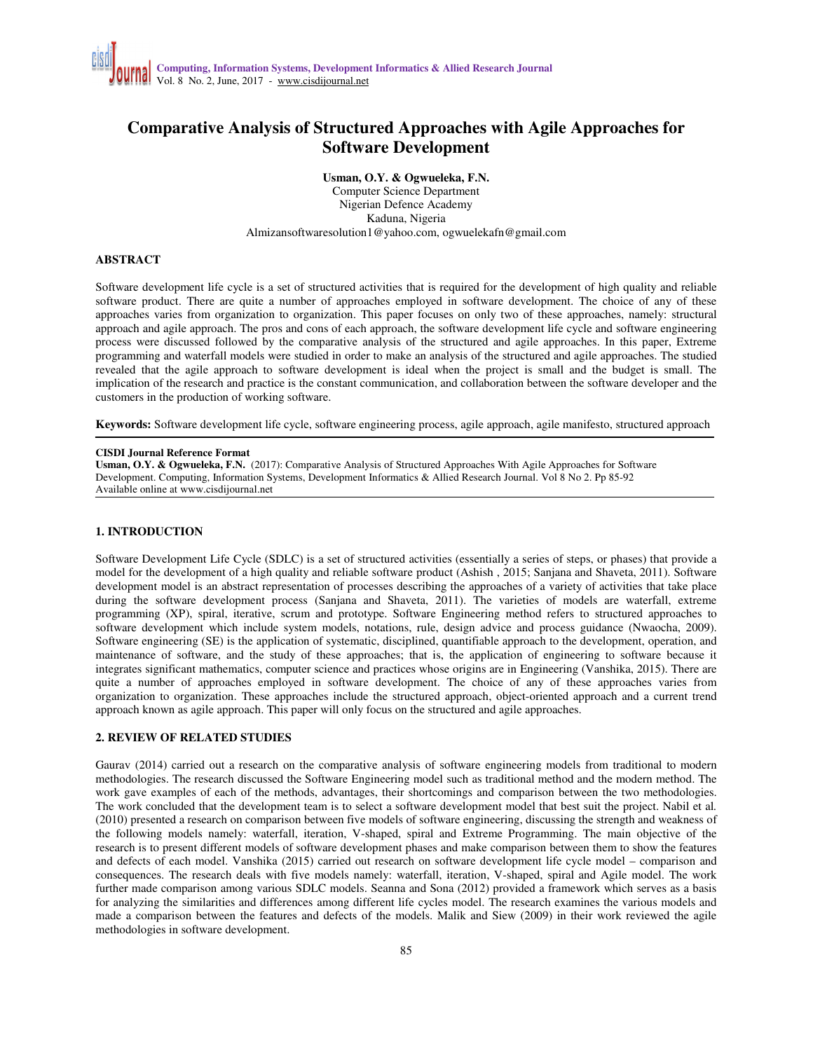# **Comparative Analysis of Structured Approaches with Agile Approaches for Software Development**

**Usman, O.Y. & Ogwueleka, F.N.** 

Computer Science Department Nigerian Defence Academy Kaduna, Nigeria Almizansoftwaresolution1@yahoo.com, ogwuelekafn@gmail.com

# **ABSTRACT**

Software development life cycle is a set of structured activities that is required for the development of high quality and reliable software product. There are quite a number of approaches employed in software development. The choice of any of these approaches varies from organization to organization. This paper focuses on only two of these approaches, namely: structural approach and agile approach. The pros and cons of each approach, the software development life cycle and software engineering process were discussed followed by the comparative analysis of the structured and agile approaches. In this paper, Extreme programming and waterfall models were studied in order to make an analysis of the structured and agile approaches. The studied revealed that the agile approach to software development is ideal when the project is small and the budget is small. The implication of the research and practice is the constant communication, and collaboration between the software developer and the customers in the production of working software.

**Keywords:** Software development life cycle, software engineering process, agile approach, agile manifesto, structured approach

#### **CISDI Journal Reference Format**

**Usman, O.Y. & Ogwueleka, F.N.** (2017): Comparative Analysis of Structured Approaches With Agile Approaches for Software Development. Computing, Information Systems, Development Informatics & Allied Research Journal. Vol 8 No 2. Pp 85-92 Available online at www.cisdijournal.net

## **1. INTRODUCTION**

Software Development Life Cycle (SDLC) is a set of structured activities (essentially a series of steps, or phases) that provide a model for the development of a high quality and reliable software product (Ashish , 2015; Sanjana and Shaveta, 2011). Software development model is an abstract representation of processes describing the approaches of a variety of activities that take place during the software development process (Sanjana and Shaveta, 2011). The varieties of models are waterfall, extreme programming (XP), spiral, iterative, scrum and prototype. Software Engineering method refers to structured approaches to software development which include system models, notations, rule, design advice and process guidance (Nwaocha, 2009). Software engineering (SE) is the application of systematic, disciplined, quantifiable approach to the development, operation, and maintenance of software, and the study of these approaches; that is, the application of engineering to software because it integrates significant mathematics, computer science and practices whose origins are in Engineering (Vanshika, 2015). There are quite a number of approaches employed in software development. The choice of any of these approaches varies from organization to organization. These approaches include the structured approach, object-oriented approach and a current trend approach known as agile approach. This paper will only focus on the structured and agile approaches.

## **2. REVIEW OF RELATED STUDIES**

Gaurav (2014) carried out a research on the comparative analysis of software engineering models from traditional to modern methodologies. The research discussed the Software Engineering model such as traditional method and the modern method. The work gave examples of each of the methods, advantages, their shortcomings and comparison between the two methodologies. The work concluded that the development team is to select a software development model that best suit the project. Nabil et al*.* (2010) presented a research on comparison between five models of software engineering, discussing the strength and weakness of the following models namely: waterfall, iteration, V-shaped, spiral and Extreme Programming. The main objective of the research is to present different models of software development phases and make comparison between them to show the features and defects of each model. Vanshika (2015) carried out research on software development life cycle model – comparison and consequences. The research deals with five models namely: waterfall, iteration, V-shaped, spiral and Agile model. The work further made comparison among various SDLC models. Seanna and Sona (2012) provided a framework which serves as a basis for analyzing the similarities and differences among different life cycles model. The research examines the various models and made a comparison between the features and defects of the models. Malik and Siew (2009) in their work reviewed the agile methodologies in software development.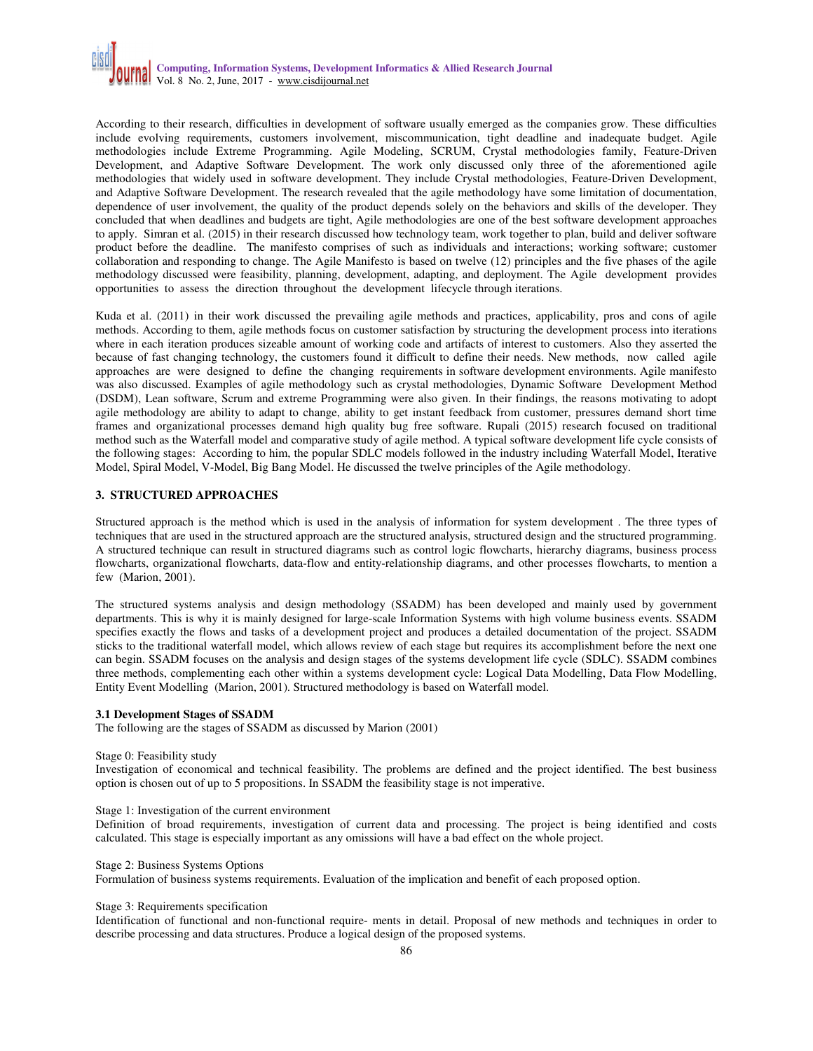According to their research, difficulties in development of software usually emerged as the companies grow. These difficulties include evolving requirements, customers involvement, miscommunication, tight deadline and inadequate budget. Agile methodologies include Extreme Programming. Agile Modeling, SCRUM, Crystal methodologies family, Feature-Driven Development, and Adaptive Software Development. The work only discussed only three of the aforementioned agile methodologies that widely used in software development. They include Crystal methodologies, Feature-Driven Development, and Adaptive Software Development. The research revealed that the agile methodology have some limitation of documentation, dependence of user involvement, the quality of the product depends solely on the behaviors and skills of the developer. They concluded that when deadlines and budgets are tight, Agile methodologies are one of the best software development approaches to apply. Simran et al. (2015) in their research discussed how technology team, work together to plan, build and deliver software product before the deadline. The manifesto comprises of such as individuals and interactions; working software; customer collaboration and responding to change. The Agile Manifesto is based on twelve (12) principles and the five phases of the agile methodology discussed were feasibility, planning, development, adapting, and deployment. The Agile development provides opportunities to assess the direction throughout the development lifecycle through iterations.

Kuda et al. (2011) in their work discussed the prevailing agile methods and practices, applicability, pros and cons of agile methods. According to them, agile methods focus on customer satisfaction by structuring the development process into iterations where in each iteration produces sizeable amount of working code and artifacts of interest to customers. Also they asserted the because of fast changing technology, the customers found it difficult to define their needs. New methods, now called agile approaches are were designed to define the changing requirements in software development environments. Agile manifesto was also discussed. Examples of agile methodology such as crystal methodologies, Dynamic Software Development Method (DSDM), Lean software, Scrum and extreme Programming were also given. In their findings, the reasons motivating to adopt agile methodology are ability to adapt to change, ability to get instant feedback from customer, pressures demand short time frames and organizational processes demand high quality bug free software. Rupali (2015) research focused on traditional method such as the Waterfall model and comparative study of agile method. A typical software development life cycle consists of the following stages: According to him, the popular SDLC models followed in the industry including Waterfall Model, Iterative Model, Spiral Model, V-Model, Big Bang Model. He discussed the twelve principles of the Agile methodology.

# **3. STRUCTURED APPROACHES**

Structured approach is the method which is used in the analysis of information for system development . The three types of techniques that are used in the structured approach are the structured analysis, structured design and the structured programming. A structured technique can result in structured diagrams such as control logic flowcharts, hierarchy diagrams, business process flowcharts, organizational flowcharts, data-flow and entity-relationship diagrams, and other processes flowcharts, to mention a few (Marion, 2001).

The structured systems analysis and design methodology (SSADM) has been developed and mainly used by government departments. This is why it is mainly designed for large-scale Information Systems with high volume business events. SSADM specifies exactly the flows and tasks of a development project and produces a detailed documentation of the project. SSADM sticks to the traditional waterfall model, which allows review of each stage but requires its accomplishment before the next one can begin. SSADM focuses on the analysis and design stages of the systems development life cycle (SDLC). SSADM combines three methods, complementing each other within a systems development cycle: Logical Data Modelling, Data Flow Modelling, Entity Event Modelling (Marion, 2001). Structured methodology is based on Waterfall model.

## **3.1 Development Stages of SSADM**

The following are the stages of SSADM as discussed by Marion (2001)

#### Stage 0: Feasibility study

Investigation of economical and technical feasibility. The problems are defined and the project identified. The best business option is chosen out of up to 5 propositions. In SSADM the feasibility stage is not imperative.

# Stage 1: Investigation of the current environment

Definition of broad requirements, investigation of current data and processing. The project is being identified and costs calculated. This stage is especially important as any omissions will have a bad effect on the whole project.

#### Stage 2: Business Systems Options

Formulation of business systems requirements. Evaluation of the implication and benefit of each proposed option.

#### Stage 3: Requirements specification

Identification of functional and non-functional require- ments in detail. Proposal of new methods and techniques in order to describe processing and data structures. Produce a logical design of the proposed systems.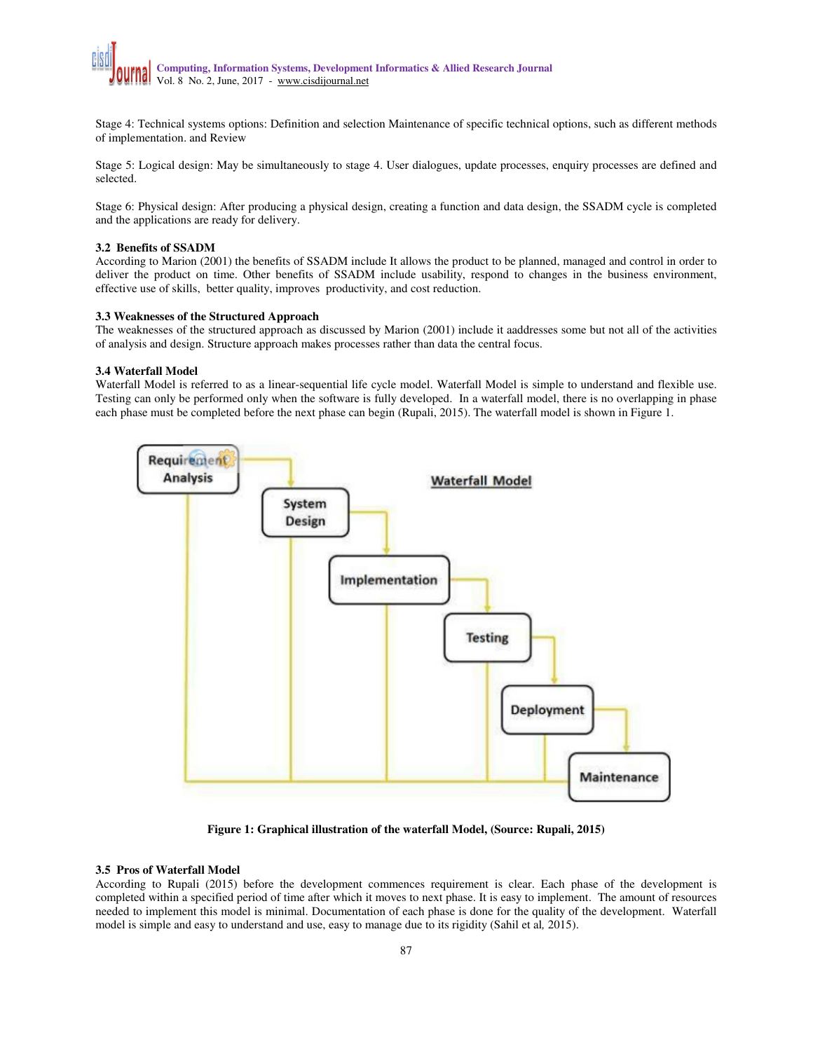

Stage 4: Technical systems options: Definition and selection Maintenance of specific technical options, such as different methods of implementation. and Review

Stage 5: Logical design: May be simultaneously to stage 4. User dialogues, update processes, enquiry processes are defined and selected.

Stage 6: Physical design: After producing a physical design, creating a function and data design, the SSADM cycle is completed and the applications are ready for delivery.

#### **3.2 Benefits of SSADM**

According to Marion (2001) the benefits of SSADM include It allows the product to be planned, managed and control in order to deliver the product on time. Other benefits of SSADM include usability, respond to changes in the business environment, effective use of skills, better quality, improves productivity, and cost reduction.

## **3.3 Weaknesses of the Structured Approach**

The weaknesses of the structured approach as discussed by Marion (2001) include it aaddresses some but not all of the activities of analysis and design. Structure approach makes processes rather than data the central focus.

### **3.4 Waterfall Model**

Waterfall Model is referred to as a linear-sequential life cycle model. Waterfall Model is simple to understand and flexible use. Testing can only be performed only when the software is fully developed. In a waterfall model, there is no overlapping in phase each phase must be completed before the next phase can begin (Rupali, 2015). The waterfall model is shown in Figure 1.



**Figure 1: Graphical illustration of the waterfall Model, (Source: Rupali, 2015)** 

## **3.5 Pros of Waterfall Model**

According to Rupali (2015) before the development commences requirement is clear. Each phase of the development is completed within a specified period of time after which it moves to next phase. It is easy to implement. The amount of resources needed to implement this model is minimal. Documentation of each phase is done for the quality of the development. Waterfall model is simple and easy to understand and use, easy to manage due to its rigidity (Sahil et al*,* 2015).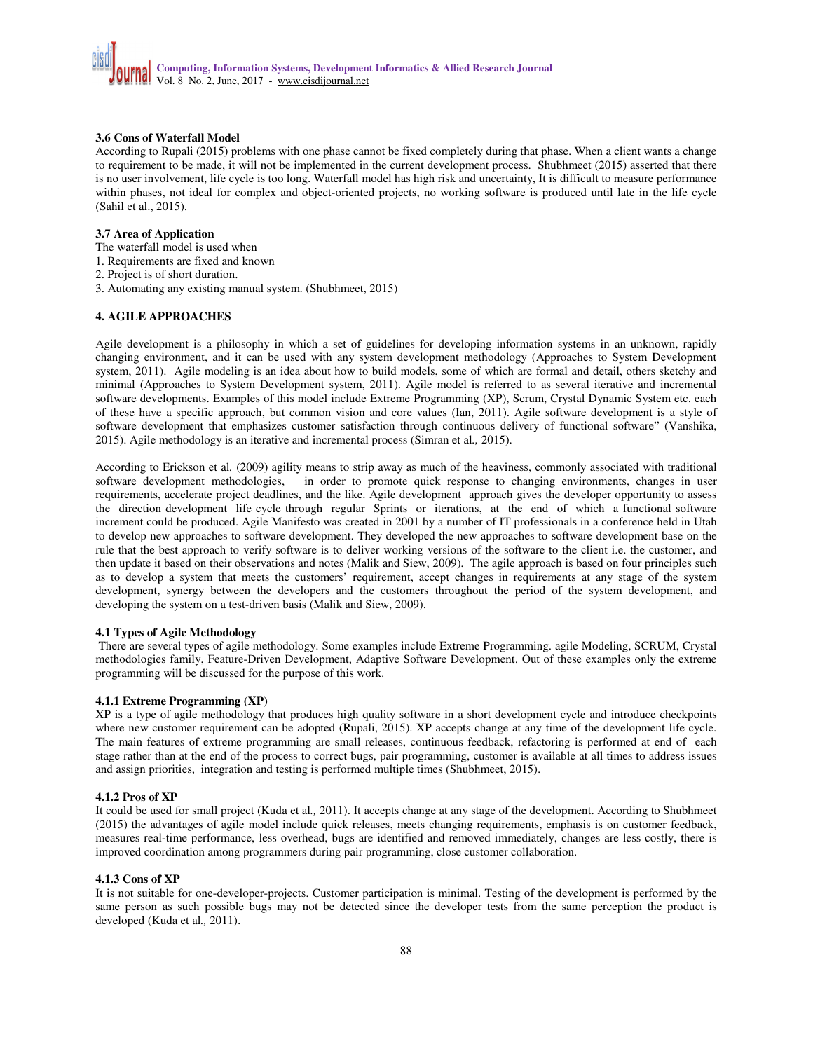## **3.6 Cons of Waterfall Model**

According to Rupali (2015) problems with one phase cannot be fixed completely during that phase. When a client wants a change to requirement to be made, it will not be implemented in the current development process. Shubhmeet (2015) asserted that there is no user involvement, life cycle is too long. Waterfall model has high risk and uncertainty, It is difficult to measure performance within phases, not ideal for complex and object-oriented projects, no working software is produced until late in the life cycle (Sahil et al., 2015).

## **3.7 Area of Application**

The waterfall model is used when

- 1. Requirements are fixed and known
- 2. Project is of short duration.
- 3. Automating any existing manual system. (Shubhmeet, 2015)

## **4. AGILE APPROACHES**

Agile development is a philosophy in which a set of guidelines for developing information systems in an unknown, rapidly changing environment, and it can be used with any system development methodology (Approaches to System Development system, 2011). Agile modeling is an idea about how to build models, some of which are formal and detail, others sketchy and minimal (Approaches to System Development system, 2011). Agile model is referred to as several iterative and incremental software developments. Examples of this model include Extreme Programming (XP), Scrum, Crystal Dynamic System etc. each of these have a specific approach, but common vision and core values (Ian, 2011). Agile software development is a style of software development that emphasizes customer satisfaction through continuous delivery of functional software" (Vanshika, 2015). Agile methodology is an iterative and incremental process (Simran et al*.,* 2015).

According to Erickson et al. (2009) agility means to strip away as much of the heaviness, commonly associated with traditional software development methodologies, in order to promote quick response to changing environments in order to promote quick response to changing environments, changes in user requirements, accelerate project deadlines, and the like. Agile development approach gives the developer opportunity to assess the direction development life cycle through regular Sprints or iterations, at the end of which a functional software increment could be produced. Agile Manifesto was created in 2001 by a number of IT professionals in a conference held in Utah to develop new approaches to software development. They developed the new approaches to software development base on the rule that the best approach to verify software is to deliver working versions of the software to the client i.e. the customer, and then update it based on their observations and notes (Malik and Siew, 2009). The agile approach is based on four principles such as to develop a system that meets the customers' requirement, accept changes in requirements at any stage of the system development, synergy between the developers and the customers throughout the period of the system development, and developing the system on a test-driven basis (Malik and Siew, 2009).

## **4.1 Types of Agile Methodology**

 There are several types of agile methodology. Some examples include Extreme Programming. agile Modeling, SCRUM, Crystal methodologies family, Feature-Driven Development, Adaptive Software Development. Out of these examples only the extreme programming will be discussed for the purpose of this work.

#### **4.1.1 Extreme Programming (XP)**

XP is a type of agile methodology that produces high quality software in a short development cycle and introduce checkpoints where new customer requirement can be adopted (Rupali, 2015). XP accepts change at any time of the development life cycle. The main features of extreme programming are small releases, continuous feedback, refactoring is performed at end of each stage rather than at the end of the process to correct bugs, pair programming, customer is available at all times to address issues and assign priorities, integration and testing is performed multiple times (Shubhmeet, 2015).

#### **4.1.2 Pros of XP**

It could be used for small project (Kuda et al*.,* 2011). It accepts change at any stage of the development. According to Shubhmeet (2015) the advantages of agile model include quick releases, meets changing requirements, emphasis is on customer feedback, measures real-time performance, less overhead, bugs are identified and removed immediately, changes are less costly, there is improved coordination among programmers during pair programming, close customer collaboration.

#### **4.1.3 Cons of XP**

It is not suitable for one-developer-projects. Customer participation is minimal. Testing of the development is performed by the same person as such possible bugs may not be detected since the developer tests from the same perception the product is developed (Kuda et al*.,* 2011).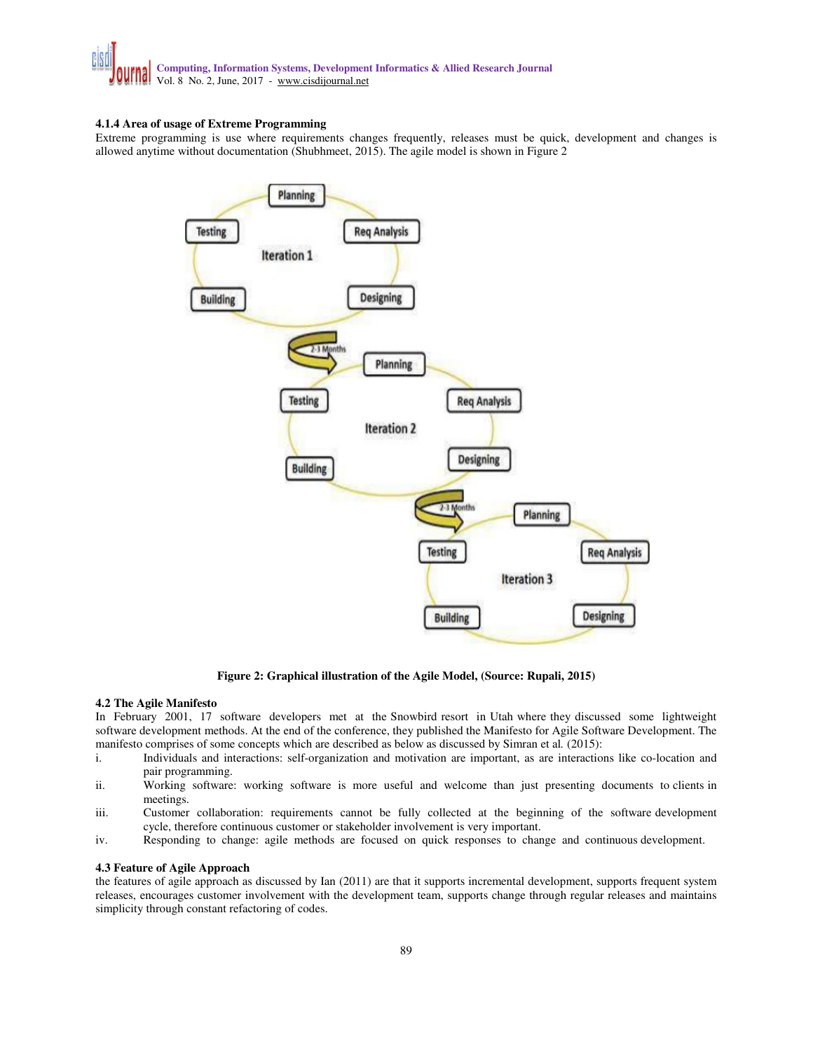

## **4.1.4 Area of usage of Extreme Programming**

Extreme programming is use where requirements changes frequently, releases must be quick, development and changes is allowed anytime without documentation (Shubhmeet, 2015). The agile model is shown in Figure 2



**Figure 2: Graphical illustration of the Agile Model, (Source: Rupali, 2015)** 

#### **4.2 The Agile Manifesto**

In February 2001, 17 software developers met at the Snowbird resort in Utah where they discussed some lightweight software development methods. At the end of the conference, they published the Manifesto for Agile Software Development. The manifesto comprises of some concepts which are described as below as discussed by Simran et al*.* (2015):

- i. Individuals and interactions: self-organization and motivation are important, as are interactions like co-location and pair programming.
- ii. Working software: working software is more useful and welcome than just presenting documents to clients in meetings.
- iii. Customer collaboration: requirements cannot be fully collected at the beginning of the software development cycle, therefore continuous customer or stakeholder involvement is very important.
- iv. Responding to change: agile methods are focused on quick responses to change and continuous development.

#### **4.3 Feature of Agile Approach**

the features of agile approach as discussed by Ian (2011) are that it supports incremental development, supports frequent system releases, encourages customer involvement with the development team, supports change through regular releases and maintains simplicity through constant refactoring of codes.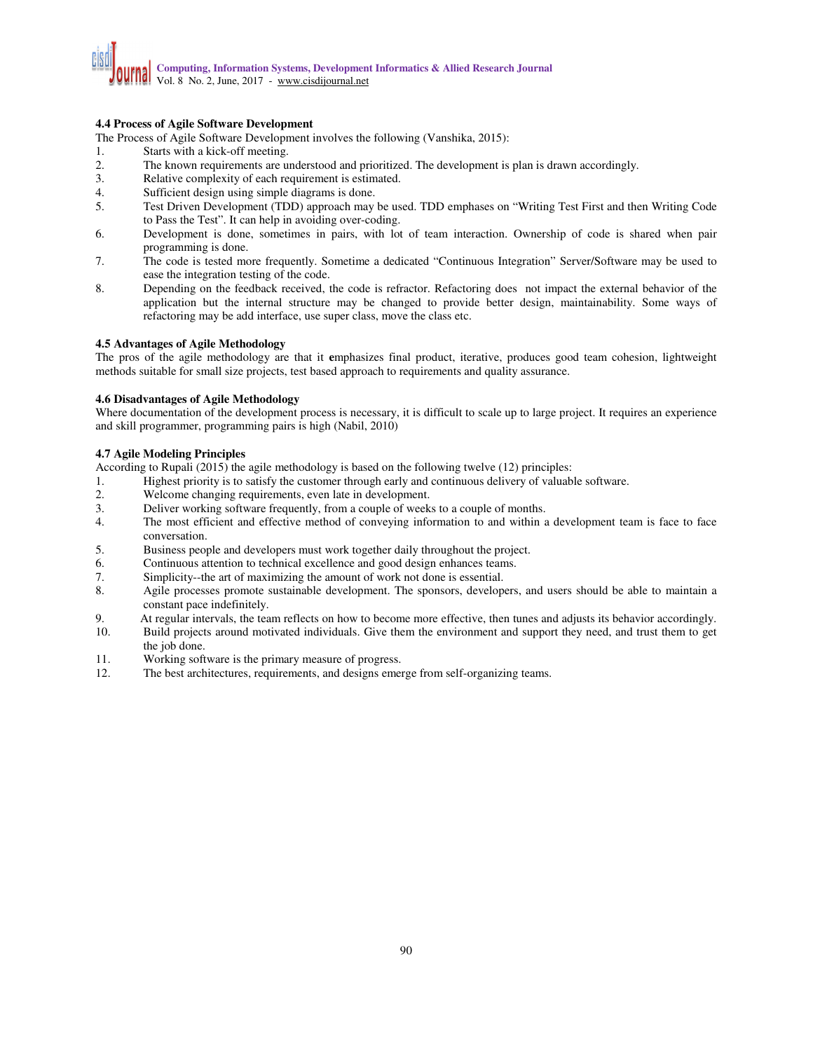# **4.4 Process of Agile Software Development**

The Process of Agile Software Development involves the following (Vanshika, 2015):

- 1. Starts with a kick-off meeting.
- 2. The known requirements are understood and prioritized. The development is plan is drawn accordingly.
- 3. Relative complexity of each requirement is estimated.
- 4. Sufficient design using simple diagrams is done.
- 5. Test Driven Development (TDD) approach may be used. TDD emphases on "Writing Test First and then Writing Code to Pass the Test". It can help in avoiding over-coding.
- 6. Development is done, sometimes in pairs, with lot of team interaction. Ownership of code is shared when pair programming is done.
- 7. The code is tested more frequently. Sometime a dedicated "Continuous Integration" Server/Software may be used to ease the integration testing of the code.
- 8. Depending on the feedback received, the code is refractor. Refactoring does not impact the external behavior of the application but the internal structure may be changed to provide better design, maintainability. Some ways of refactoring may be add interface, use super class, move the class etc.

## **4.5 Advantages of Agile Methodology**

The pros of the agile methodology are that it **e**mphasizes final product, iterative, produces good team cohesion, lightweight methods suitable for small size projects, test based approach to requirements and quality assurance.

#### **4.6 Disadvantages of Agile Methodology**

Where documentation of the development process is necessary, it is difficult to scale up to large project. It requires an experience and skill programmer, programming pairs is high (Nabil, 2010)

## **4.7 Agile Modeling Principles**

According to Rupali (2015) the agile methodology is based on the following twelve (12) principles:<br>1. Highest priority is to satisfy the customer through early and continuous delivery of valuable

- 1. Highest priority is to satisfy the customer through early and continuous delivery of valuable software.<br>2. Welcome changing requirements, even late in development.
- Welcome changing requirements, even late in development.
- 3. Deliver working software frequently, from a couple of weeks to a couple of months.
- 4. The most efficient and effective method of conveying information to and within a development team is face to face conversation.
- 5. Business people and developers must work together daily throughout the project.
- 6. Continuous attention to technical excellence and good design enhances teams.
- 7. Simplicity--the art of maximizing the amount of work not done is essential.
- 8. Agile processes promote sustainable development. The sponsors, developers, and users should be able to maintain a constant pace indefinitely.
- 9. At regular intervals, the team reflects on how to become more effective, then tunes and adjusts its behavior accordingly.
- 10. Build projects around motivated individuals. Give them the environment and support they need, and trust them to get the job done.
- 11. Working software is the primary measure of progress.
- 12. The best architectures, requirements, and designs emerge from self-organizing teams.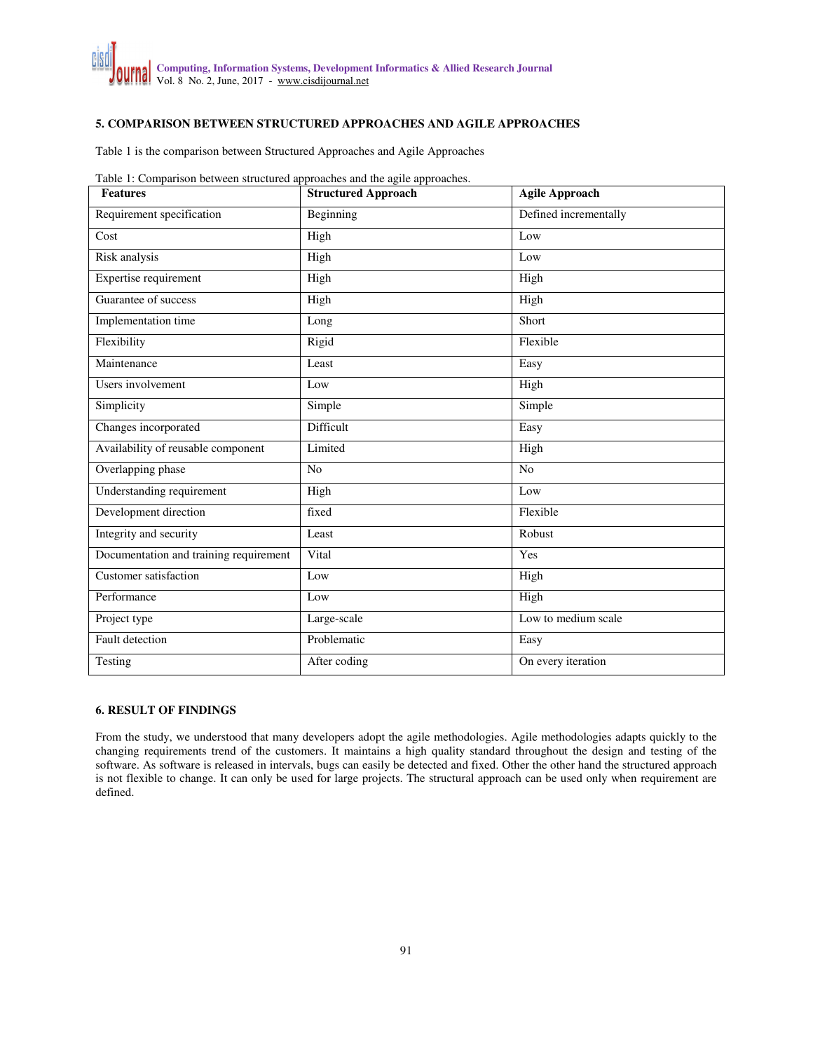# **5. COMPARISON BETWEEN STRUCTURED APPROACHES AND AGILE APPROACHES**

Table 1 is the comparison between Structured Approaches and Agile Approaches

|  | Table 1: Comparison between structured approaches and the agile approaches. |
|--|-----------------------------------------------------------------------------|
|  |                                                                             |

| <b>Features</b>                        | <b>Structured Approach</b> | <b>Agile Approach</b> |
|----------------------------------------|----------------------------|-----------------------|
| Requirement specification              | <b>Beginning</b>           | Defined incrementally |
| Cost                                   | High                       | Low                   |
| Risk analysis                          | High                       | Low                   |
| Expertise requirement                  | High                       | High                  |
| Guarantee of success                   | High                       | High                  |
| Implementation time                    | Long                       | Short                 |
| Flexibility                            | Rigid                      | Flexible              |
| Maintenance                            | Least                      | Easy                  |
| Users involvement                      | Low                        | High                  |
| Simplicity                             | Simple                     | Simple                |
| Changes incorporated                   | Difficult                  | Easy                  |
| Availability of reusable component     | Limited                    | High                  |
| Overlapping phase                      | N <sub>o</sub>             | N <sub>o</sub>        |
| Understanding requirement              | High                       | Low                   |
| Development direction                  | fixed                      | Flexible              |
| Integrity and security                 | Least                      | Robust                |
| Documentation and training requirement | Vital                      | Yes                   |
| Customer satisfaction                  | Low                        | High                  |
| Performance                            | Low                        | High                  |
| Project type                           | Large-scale                | Low to medium scale   |
| <b>Fault</b> detection                 | Problematic                | Easy                  |
| Testing                                | After coding               | On every iteration    |

# **6. RESULT OF FINDINGS**

From the study, we understood that many developers adopt the agile methodologies. Agile methodologies adapts quickly to the changing requirements trend of the customers. It maintains a high quality standard throughout the design and testing of the software. As software is released in intervals, bugs can easily be detected and fixed. Other the other hand the structured approach is not flexible to change. It can only be used for large projects. The structural approach can be used only when requirement are defined.